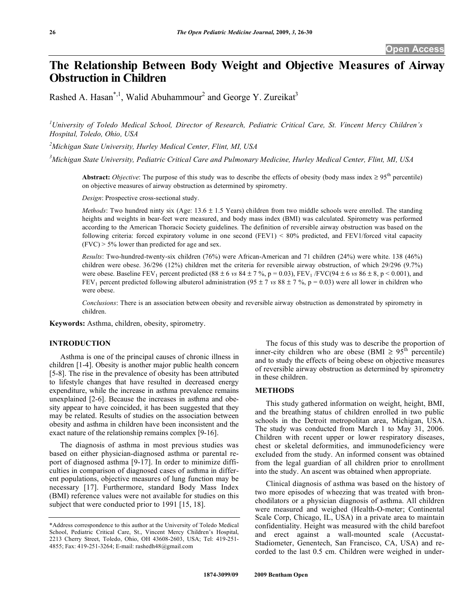# **The Relationship Between Body Weight and Objective Measures of Airway Obstruction in Children**

Rashed A. Hasan<sup>\*,1</sup>, Walid Abuhammour<sup>2</sup> and George Y. Zureikat<sup>3</sup>

*1 University of Toledo Medical School, Director of Research, Pediatric Critical Care, St. Vincent Mercy Children's Hospital, Toledo, Ohio, USA* 

*2 Michigan State University, Hurley Medical Center, Flint, MI, USA* 

*3 Michigan State University, Pediatric Critical Care and Pulmonary Medicine, Hurley Medical Center, Flint, MI, USA* 

**Abstract:** *Objective*: The purpose of this study was to describe the effects of obesity (body mass index  $\geq 95$ <sup>th</sup> percentile) on objective measures of airway obstruction as determined by spirometry.

*Design*: Prospective cross-sectional study.

*Methods*: Two hundred ninty six (Age: 13.6 ± 1.5 Years) children from two middle schools were enrolled. The standing heights and weights in bear-feet were measured, and body mass index (BMI) was calculated. Spirometry was performed according to the American Thoracic Society guidelines. The definition of reversible airway obstruction was based on the following criteria: forced expiratory volume in one second (FEV1) < 80% predicted, and FEV1/forced vital capacity  $(FVC)$  > 5% lower than predicted for age and sex.

*Results*: Two-hundred-twenty-six children (76%) were African-American and 71 children (24%) were white. 138 (46%) children were obese. 36/296 (12%) children met the criteria for reversible airway obstruction, of which 29/296 (9.7%) were obese. Baseline FEV<sub>1</sub> percent predicted (88  $\pm$  6 *vs* 84  $\pm$  7 %, p = 0.03), FEV<sub>1</sub> /FVC(94  $\pm$  6 *vs* 86  $\pm$  8, p < 0.001), and FEV<sub>1</sub> percent predicted following albuterol administration (95  $\pm$  7 *vs* 88  $\pm$  7 %, p = 0.03) were all lower in children who were obese.

*Conclusions*: There is an association between obesity and reversible airway obstruction as demonstrated by spirometry in children.

**Keywords:** Asthma, children, obesity, spirometry.

## **INTRODUCTION**

 Asthma is one of the principal causes of chronic illness in children [1-4]. Obesity is another major public health concern [5-8]. The rise in the prevalence of obesity has been attributed to lifestyle changes that have resulted in decreased energy expenditure, while the increase in asthma prevalence remains unexplained [2-6]. Because the increases in asthma and obesity appear to have coincided, it has been suggested that they may be related. Results of studies on the association between obesity and asthma in children have been inconsistent and the exact nature of the relationship remains complex [9-16].

 The diagnosis of asthma in most previous studies was based on either physician-diagnosed asthma or parental report of diagnosed asthma [9-17]. In order to minimize difficulties in comparison of diagnosed cases of asthma in different populations, objective measures of lung function may be necessary [17]. Furthermore, standard Body Mass Index (BMI) reference values were not available for studies on this subject that were conducted prior to 1991 [15, 18].

 The focus of this study was to describe the proportion of inner-city children who are obese (BMI  $\geq 95^{th}$  percentile) and to study the effects of being obese on objective measures of reversible airway obstruction as determined by spirometry in these children.

## **METHODS**

 This study gathered information on weight, height, BMI, and the breathing status of children enrolled in two public schools in the Detroit metropolitan area, Michigan, USA. The study was conducted from March 1 to May 31, 2006. Children with recent upper or lower respiratory diseases, chest or skeletal deformities, and immunodeficiency were excluded from the study. An informed consent was obtained from the legal guardian of all children prior to enrollment into the study. An ascent was obtained when appropriate.

 Clinical diagnosis of asthma was based on the history of two more episodes of wheezing that was treated with bronchodilators or a physician diagnosis of asthma. All children were measured and weighed (Health-O-meter; Continental Scale Corp, Chicago, IL, USA) in a private area to maintain confidentiality. Height was measured with the child barefoot and erect against a wall-mounted scale (Accustat-Stadiometer, Genentech, San Francisco, CA, USA) and recorded to the last 0.5 cm. Children were weighed in under-

<sup>\*</sup>Address correspondence to this author at the University of Toledo Medical School, Pediatric Critical Care, St., Vincent Mercy Children's Hospital, 2213 Cherry Street, Toledo, Ohio, OH 43608-2603, USA; Tel: 419-251- 4855; Fax: 419-251-3264; E-mail: rashedh48@gmail.com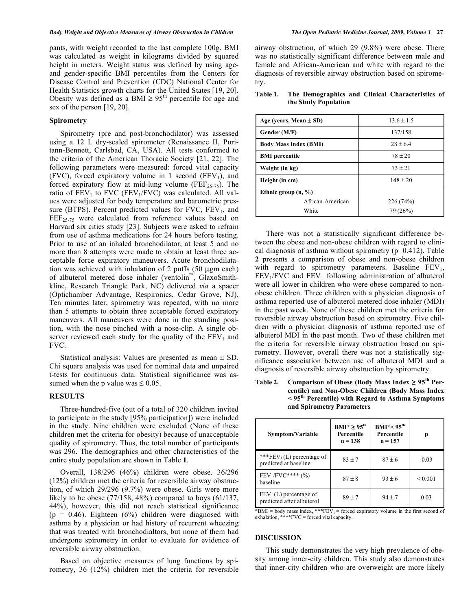pants, with weight recorded to the last complete 100g. BMI was calculated as weight in kilograms divided by squared height in meters. Weight status was defined by using ageand gender-specific BMI percentiles from the Centers for Disease Control and Prevention (CDC) National Center for Health Statistics growth charts for the United States [19, 20]. Obesity was defined as a BMI  $\geq 95^{\text{th}}$  percentile for age and sex of the person [19, 20].

## **Spirometry**

 Spirometry (pre and post-bronchodilator) was assessed using a 12 L dry-sealed spirometer (Renaissance II, Puritann-Bennett, Carlsbad, CA, USA). All tests conformed to the criteria of the American Thoracic Society [21, 22]. The following parameters were measured: forced vital capacity (FVC), forced expiratory volume in 1 second (FEV<sub>1</sub>), and forced expiratory flow at mid-lung volume ( $FEF_{25-75}$ ). The ratio of  $FEV<sub>1</sub>$  to  $FVC$  ( $FEV<sub>1</sub>/FVC$ ) was calculated. All values were adjusted for body temperature and barometric pressure (BTPS). Percent predicted values for  $FVC$ ,  $FEV<sub>1</sub>$ , and FEF<sub>25-75</sub> were calculated from reference values based on Harvard six cities study [23]. Subjects were asked to refrain from use of asthma medications for 24 hours before testing. Prior to use of an inhaled bronchodilator, at least 5 and no more than 8 attempts were made to obtain at least three acceptable force expiratory maneuvers. Acute bronchodilatation was achieved with inhalation of 2 puffs (50 μgm each) of albuterol metered dose inhaler (ventolin<sup>™</sup>, GlaxoSmithkline, Research Triangle Park, NC) delivered *via* a spacer (Optichamber Advantage, Respironics, Cedar Grove, NJ). Ten minutes later, spirometry was repeated, with no more than 5 attempts to obtain three acceptable forced expiratory maneuvers. All maneuvers were done in the standing position, with the nose pinched with a nose-clip. A single observer reviewed each study for the quality of the  $FEV<sub>1</sub>$  and FVC.

 Statistical analysis: Values are presented as mean ± SD. Chi square analysis was used for nominal data and unpaired t-tests for continuous data. Statistical significance was assumed when the p value was  $\leq 0.05$ .

#### **RESULTS**

 Three-hundred-five (out of a total of 320 children invited to participate in the study [95% participation]) were included in the study. Nine children were excluded (None of these children met the criteria for obesity) because of unacceptable quality of spirometry. Thus, the total number of participants was 296. The demographics and other characteristics of the entire study population are shown in Table **1**.

 Overall, 138/296 (46%) children were obese. 36/296 (12%) children met the criteria for reversible airway obstruction, of which 29/296 (9.7%) were obese. Girls were more likely to be obese  $(77/158, 48\%)$  compared to boys  $(61/137, 61/137)$ 44%), however, this did not reach statistical significance  $(p = 0.46)$ . Eighteen  $(6%)$  children were diagnosed with asthma by a physician or had history of recurrent wheezing that was treated with bronchodialtors, but none of them had undergone spirometry in order to evaluate for evidence of reversible airway obstruction.

 Based on objective measures of lung functions by spirometry, 36 (12%) children met the criteria for reversible airway obstruction, of which 29 (9.8%) were obese. There was no statistically significant difference between male and female and African-American and white with regard to the diagnosis of reversible airway obstruction based on spirometry.

| Table 1. | The Demographics and Clinical Characteristics of |  |  |
|----------|--------------------------------------------------|--|--|
|          | the Study Population                             |  |  |

| Age (years, Mean $\pm$ SD)      | $13.6 \pm 1.5$ |  |
|---------------------------------|----------------|--|
| Gender (M/F)                    | 137/158        |  |
| <b>Body Mass Index (BMI)</b>    | $28 \pm 6.4$   |  |
| <b>BMI</b> percentile           | $78 \pm 20$    |  |
| Weight (in kg)                  | $73 \pm 21$    |  |
| Height (in cm)                  | $148 \pm 20$   |  |
| Ethnic group $(n, \frac{9}{6})$ |                |  |
| African-American                | 226 (74%)      |  |
| White                           | 79 (26%)       |  |

 There was not a statistically significant difference between the obese and non-obese children with regard to clinical diagnosis of asthma without spirometry (p=0.412). Table **2** presents a comparison of obese and non-obese children with regard to spirometry parameters. Baseline  $FEV<sub>1</sub>$ ,  $FEV<sub>1</sub>/FVC$  and  $FEV<sub>1</sub>$  following administration of albuterol were all lower in children who were obese compared to nonobese children. Three children with a physician diagnosis of asthma reported use of albuterol metered dose inhaler (MDI) in the past week. None of these children met the criteria for reversible airway obstruction based on spirometry. Five children with a physician diagnosis of asthma reported use of albuterol MDI in the past month. Two of these children met the criteria for reversible airway obstruction based on spirometry. However, overall there was not a statistically significance association between use of albuterol MDI and a diagnosis of reversible airway obstruction by spirometry.

Table 2. Comparison of Obese (Body Mass Index  $\geq 95^{\text{th}}$  Per**centile) and Non-Obese Children (Body Mass Index < 95th Percentile) with Regard to Asthma Symptoms and Spirometry Parameters** 

| Symptom/Variable                                      | $BMI^* \geq 95^{th}$<br>Percentile<br>$n = 138$ | $BMI^* < 95^{th}$<br>Percentile<br>$n = 157$ | p            |
|-------------------------------------------------------|-------------------------------------------------|----------------------------------------------|--------------|
| *** $FEV_1(L)$ percentage of<br>predicted at baseline | $83 + 7$                                        | $87 \pm 6$                                   | 0.03         |
| $FEV_1/ FVC***$ (%)<br>baseline                       | $87 \pm 8$                                      | $93 \pm 6$                                   | ${}_{0.001}$ |
| $FEV1(L)$ percentage of<br>predicted after albuterol  | $89 \pm 7$                                      | $94 \pm 7$                                   | 0.03         |

 $*$ BMI = body mass index,  $**$ FEV<sub>1</sub> = forced expiratory volume in the first second of  $exhalation, ***FVC = forced vital capacity.$ 

# **DISCUSSION**

This study demonstrates the very high prevalence of obesity among inner-city children. This study also demonstrates that inner-city children who are overweight are more likely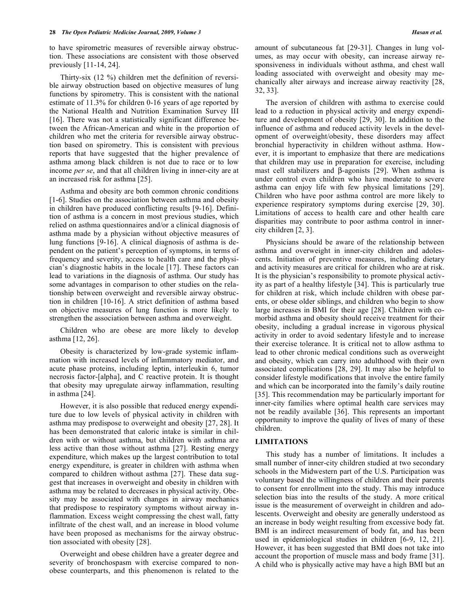to have spirometric measures of reversible airway obstruction. These associations are consistent with those observed previously [11-14, 24].

 Thirty-six (12 %) children met the definition of reversible airway obstruction based on objective measures of lung functions by spirometry. This is consistent with the national estimate of 11.3% for children 0-16 years of age reported by the National Health and Nutrition Examination Survey III [16]. There was not a statistically significant difference between the African-American and white in the proportion of children who met the criteria for reversible airway obstruction based on spirometry. This is consistent with previous reports that have suggested that the higher prevalence of asthma among black children is not due to race or to low income *per se*, and that all children living in inner-city are at an increased risk for asthma [25].

 Asthma and obesity are both common chronic conditions [1-6]. Studies on the association between asthma and obesity in children have produced conflicting results [9-16]. Definition of asthma is a concern in most previous studies, which relied on asthma questionnaires and/or a clinical diagnosis of asthma made by a physician without objective measures of lung functions [9-16]. A clinical diagnosis of asthma is dependent on the patient's perception of symptoms, in terms of frequency and severity, access to health care and the physician's diagnostic habits in the locale [17]. These factors can lead to variations in the diagnosis of asthma. Our study has some advantages in comparison to other studies on the relationship between overweight and reversible airway obstruction in children [10-16]. A strict definition of asthma based on objective measures of lung function is more likely to strengthen the association between asthma and overweight.

 Children who are obese are more likely to develop asthma [12, 26].

 Obesity is characterized by low-grade systemic inflammation with increased levels of inflammatory mediator, and acute phase proteins, including leptin, interleukin 6, tumor necrosis factor-[alpha], and C reactive protein. It is thought that obesity may upregulate airway inflammation, resulting in asthma [24].

 However, it is also possible that reduced energy expenditure due to low levels of physical activity in children with asthma may predispose to overweight and obesity [27, 28]. It has been demonstrated that caloric intake is similar in children with or without asthma, but children with asthma are less active than those without asthma [27]. Resting energy expenditure, which makes up the largest contribution to total energy expenditure, is greater in children with asthma when compared to children without asthma [27]. These data suggest that increases in overweight and obesity in children with asthma may be related to decreases in physical activity. Obesity may be associated with changes in airway mechanics that predispose to respiratory symptoms without airway inflammation. Excess weight compressing the chest wall, fatty infiltrate of the chest wall, and an increase in blood volume have been proposed as mechanisms for the airway obstruction associated with obesity [28].

 Overweight and obese children have a greater degree and severity of bronchospasm with exercise compared to nonobese counterparts, and this phenomenon is related to the

 The aversion of children with asthma to exercise could lead to a reduction in physical activity and energy expenditure and development of obesity [29, 30]. In addition to the influence of asthma and reduced activity levels in the development of overweight/obesity, these disorders may affect bronchial hyperactivity in children without asthma. However, it is important to emphasize that there are medications that children may use in preparation for exercise, including mast cell stabilizers and  $\beta$ -agonists [29]. When asthma is under control even children who have moderate to severe asthma can enjoy life with few physical limitations [29]. Children who have poor asthma control are more likely to experience respiratory symptoms during exercise [29, 30]. Limitations of access to health care and other health care disparities may contribute to poor asthma control in innercity children [2, 3].

 Physicians should be aware of the relationship between asthma and overweight in inner-city children and adolescents. Initiation of preventive measures, including dietary and activity measures are critical for children who are at risk. It is the physician's responsibility to promote physical activity as part of a healthy lifestyle [34]. This is particularly true for children at risk, which include children with obese parents, or obese older siblings, and children who begin to show large increases in BMI for their age [28]. Children with comorbid asthma and obesity should receive treatment for their obesity, including a gradual increase in vigorous physical activity in order to avoid sedentary lifestyle and to increase their exercise tolerance. It is critical not to allow asthma to lead to other chronic medical conditions such as overweight and obesity, which can carry into adulthood with their own associated complications [28, 29]. It may also be helpful to consider lifestyle modifications that involve the entire family and which can be incorporated into the family's daily routine [35]. This recommendation may be particularly important for inner-city families where optimal health care services may not be readily available [36]. This represents an important opportunity to improve the quality of lives of many of these children.

#### **LIMITATIONS**

 This study has a number of limitations. It includes a small number of inner-city children studied at two secondary schools in the Midwestern part of the U.S. Participation was voluntary based the willingness of children and their parents to consent for enrollment into the study. This may introduce selection bias into the results of the study. A more critical issue is the measurement of overweight in children and adolescents. Overweight and obesity are generally understood as an increase in body weight resulting from excessive body fat. BMI is an indirect measurement of body fat, and has been used in epidemiological studies in children [6-9, 12, 21]. However, it has been suggested that BMI does not take into account the proportion of muscle mass and body frame [31]. A child who is physically active may have a high BMI but an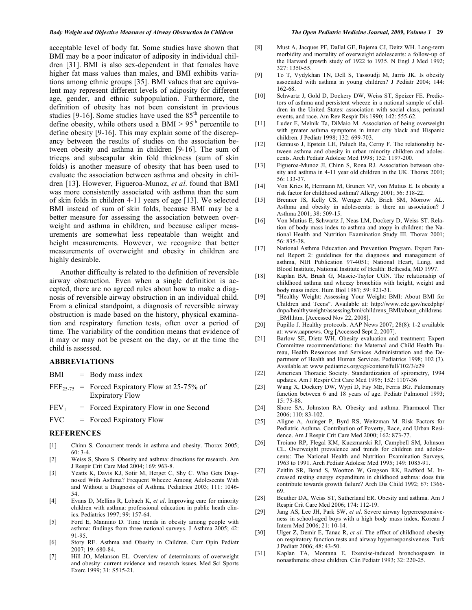#### *Body Weight and Objective Measures of Airway Obstruction in Children The Open Pediatric Medicine Journal, 2009, Volume 3* **29**

acceptable level of body fat. Some studies have shown that BMI may be a poor indicator of adiposity in individual children [31]. BMI is also sex-dependent in that females have higher fat mass values than males, and BMI exhibits variations among ethnic groups [35]. BMI values that are equivalent may represent different levels of adiposity for different age, gender, and ethnic subpopulation. Furthermore, the definition of obesity has not been consistent in previous studies [9-16]. Some studies have used the  $85<sup>th</sup>$  percentile to define obesity, while others used a BMI  $> 95<sup>th</sup>$  percentile to define obesity [9-16]. This may explain some of the discrepancy between the results of studies on the association between obesity and asthma in children [9-16]. The sum of triceps and subscapular skin fold thickness (sum of skin folds) is another measure of obesity that has been used to evaluate the association between asthma and obesity in children [13]. However, Figueroa-Munoz, *et al*. found that BMI was more consistently associated with asthma than the sum of skin folds in children 4-11 years of age [13]. We selected BMI instead of sum of skin folds, because BMI may be a better measure for assessing the association between overweight and asthma in children, and because caliper measurements are somewhat less repeatable than weight and height measurements. However, we recognize that better measurements of overweight and obesity in children are highly desirable.

 Another difficulty is related to the definition of reversible airway obstruction. Even when a single definition is accepted, there are no agreed rules about how to make a diagnosis of reversible airway obstruction in an individual child. From a clinical standpoint, a diagnosis of reversible airway obstruction is made based on the history, physical examination and respiratory function tests, often over a period of time. The variability of the condition means that evidence of it may or may not be present on the day, or at the time the child is assessed.

#### **ABBREVIATIONS**

- $BMI = Body mass index$
- $FEF<sub>25-75</sub>$  = Forced Expiratory Flow at 25-75% of Expiratory Flow
- $FEV<sub>1</sub>$  = Forced Expiratory Flow in one Second
- $FVC = Forced Expiratory Flow$

### **REFERENCES**

- [1] Chinn S. Concurrent trends in asthma and obesity. Thorax 2005; 60: 3-4.
- [2] Weiss S, Shore S. Obesity and asthma: directions for research. Am J Respir Crit Care Med 2004; 169: 963-8.
- [3] Yeatts K, Davis KJ, Sotir M, Herget C, Shy C. Who Gets Diagnosed With Asthma? Frequent Wheeze Among Adolescents With and Without a Diagnosis of Asthma. Pediatrics 2003; 111: 1046- 54.
- [4] Evans D, Mellins R, Lobach K, *et al*. Improving care for minority children with asthma: professional education in public heath clinics. Pediatrics 1997; 99: 157-64.
- [5] Ford E, Mannino D. Time trends in obesity among people with asthma: findings from three national surveys. J Asthma 2005; 42: 91-95.
- [6] Story RE. Asthma and Obesity in Children. Curr Opin Pediatr  $2007 \cdot 19 \cdot 680 - 84$
- [7] Hill JO, Melanson EL. Overview of determinants of overweight and obesity: current evidence and research issues. Med Sci Sports Exerc 1999; 31: S515-21.
- [8] Must A, Jacques PF, Dallal GE, Bajema CJ, Deitz WH. Long-term morbidity and mortality of overweight adolescents: a follow-up of the Harvard growth study of 1922 to 1935. N Engl J Med 1992; 327: 1350-55.
- [9] To T, Vydykhan TN, Dell S, Tassoudji M, Jarris JK. Is obesity associated with asthma in young children? J Pediatr 2004; 144: 162-68.
- [10] Schwartz J, Gold D, Dockery DW, Weiss ST, Speizer FE. Predictors of asthma and persistent wheeze in a national sample of children in the United States: association with social class, perinatal events, and race. Am Rev Respir Dis 1990; 142: 555-62.
- [11] Luder E, Melnik Ta, DiMaio M. Association of being overweight with greater asthma symptoms in inner city black and Hispanic children. J Pediatr 1998; 132: 699-703.
- [12] Gennuso J, Epstein LH, Paluch Ra, Cerny F. The relationship between asthma and obesity in urban minority children and adolescents. Arch Pediatr Adolesc Med 1998; 152: 1197-200.
- [13] Figueroa-Munoz JI, Chinn S, Rona RJ. Association between obesity and asthma in 4-11 year old children in the UK. Thorax 2001; 56: 133-37.
- [14] Von Kries R, Hermann M, Grunert VP, von Mutius E. Is obesity a risk factor for childhood asthma? Allergy 2001; 56: 318-22.
- [15] Brenner JS, Kelly CS, Wenger AD, Brich SM, Morrow AL. Asthma and obesity in adolescents: is there an association? J Asthma 2001; 38: 509-15.
- [16] Von Mutius E, Schwartz J, Neas LM, Dockery D, Weiss ST. Relation of body mass index to asthma and atopy in children: the National Health and Nutrition Examination Study III. Thorax 2001; 56: 835-38.
- [17] National Asthma Education and Prevention Program. Expert Pannel Report 2: guidelines for the diagnosis and management of asthma, NIH Publication 97-4051; National Heart, Lung, and Blood Institute, National Institute of Health: Bethesda, MD 1997.
- [18] Kaplan BA, Brush G, Mascie-Taylor CGN. The relationship of childhood asthma and wheezy bronchitis with height, weight and body mass index. Hum Biol 1987; 59: 921-31.
- [19] "Healthy Weight: Assessing Your Weight: BMI: About BMI for Children and Teens". Available at: http://www.cdc.gov/nccdphp/ dnpa/healthyweight/assessing/bmi/childrens\_BMI/about\_childrens \_BMI.htm. [Accessed Nov 22, 2008].
- [20] Pupillo J. Healthy protocols. AAP News 2007; 28(8): 1-2 available at: www.aapnews. Org [Accessed Sept 2, 2007].
- [21] Barlow SE, Dietz WH. Obesity evaluation and treatment: Expert Committee recommendations: the Maternal and Child Health Bureau, Health Resources and Services Administration and the Department of Health and Human Services. Pediatrics 1998; 102 (3). Available at: www.pediatrics.org/cgi/content/full/102/3/e29
- [22] American Thoracic Society. Standardization of spirometry, 1994 updates. Am J Respir Crit Care Med 1995; 152: 1107-36
- [23] Wang X, Dockery DW, Wypi D, Fay ME, Ferris BG. Pulomonary function between 6 and 18 years of age. Pediatr Pulmonol 1993; 15: 75-88.
- [24] Shore SA, Johnston RA. Obesity and asthma. Pharmacol Ther 2006; 110: 83-102.
- [25] Aligne A, Auinger P, Byrd RS, Weitzman M. Risk Factors for Pediatric Asthma. Contribution of Poverty, Race, and Urban Residence. Am J Respir Crit Care Med 2000; 162: 873-77.
- [26] Troiano RP, Flegal KM, Kuczmarski RJ, Campbell SM, Johnson CL. Overweight prevalence and trends for children and adolescents: The National Health and Nutrition Examination Surveys, 1963 to 1991. Arch Pediatr Adolesc Med 1995; 149: 1085-91.
- [27] Zeitlin SR, Bond S, Wootton W, Gregson RK, Radford M. Increased resting energy expenditure in childhood asthma: does this contribute towards growth failure? Arch Dis Child 1992; 67: 1366- 69.
- [28] Beuther DA, Weiss ST, Sutherland ER. Obesity and asthma. Am J Respir Crit Care Med 2006; 174: 112-19.
- [29] Jang AS, Lee JH, Park SW, *et al*. Severe airway hyperresponsiveness in school-aged boys with a high body mass index. Korean J Intern Med 2006; 21: 10-14.
- [30] Ulger Z, Demir E, Tanac R, *et al*. The effect of childhood obesity on respiratory function tests and airway hyperresponsiveness. Turk J Pediatr 2006; 48: 43-50.
- [31] Kaplan TA, Montana E. Exercise-induced bronchospasm in nonasthmatic obese children. Clin Pediatr 1993; 32: 220-25.